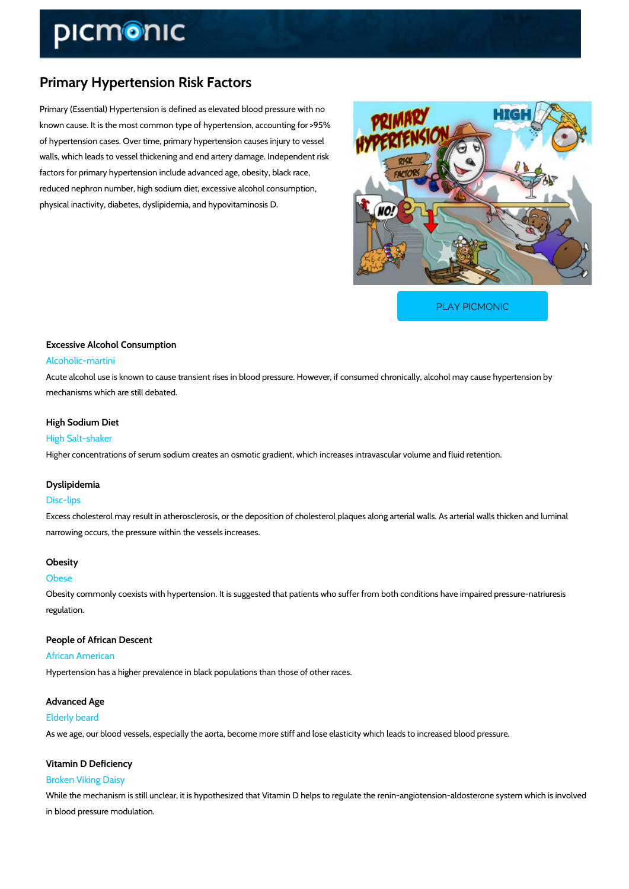# Primary Hypertension Risk Factors

Primary (Essential) Hypertension is defined as elevated blood pressure with no known cause. It is the most common type of hypertension, accounting for >95% of hypertension cases. Over time, primary hypertension causes injury to vessel walls, which leads to vessel thickening and end artery damage. Independent risk factors for primary hypertension include advanced age, obesity, black race, reduced nephron number, high sodium diet, excessive alcohol consumption, physical inactivity, diabetes, dyslipidemia, and hypovitaminosis D.

[PLAY PICMONIC](https://www.picmonic.com/learn/primary-hypertension-risk-factors_2483?utm_source=downloadable_content&utm_medium=distributedcontent&utm_campaign=pathways_pdf&utm_content=Primary Hypertension Risk Factors&utm_ad_group=leads&utm_market=all)

# Excessive Alcohol Consumption Alcoholic-martini

Acute alcohol use is known to cause transient rises in blood pressure. However, if consumed mechanisms which are still debated.

# High Sodium Diet

High Salt-shaker Higher concentrations of serum sodium creates an osmotic gradient, which increases intravase

# Dyslipidemia

### Disc-lips

Excess cholesterol may result in atherosclerosis, or the deposition of cholesterol plaques alo narrowing occurs, the pressure within the vessels increases.

### Obesity

#### Obese

Obesity commonly coexists with hypertension. It is suggested that patients who suffer from both conditions have impaired pressure at  $\alpha$ regulation.

People of African Descent African American Hypertension has a higher prevalence in black populations than those of other races.

### Advanced Age

Elderly beard

As we age, our blood vessels, especially the aorta, become more stiff and lose elasticity whic

# Vitamin D Deficiency Broken Viking Daisy

While the mechanism is still unclear, it is hypothesized that Vitamin D helps to regulate the r in blood pressure modulation.